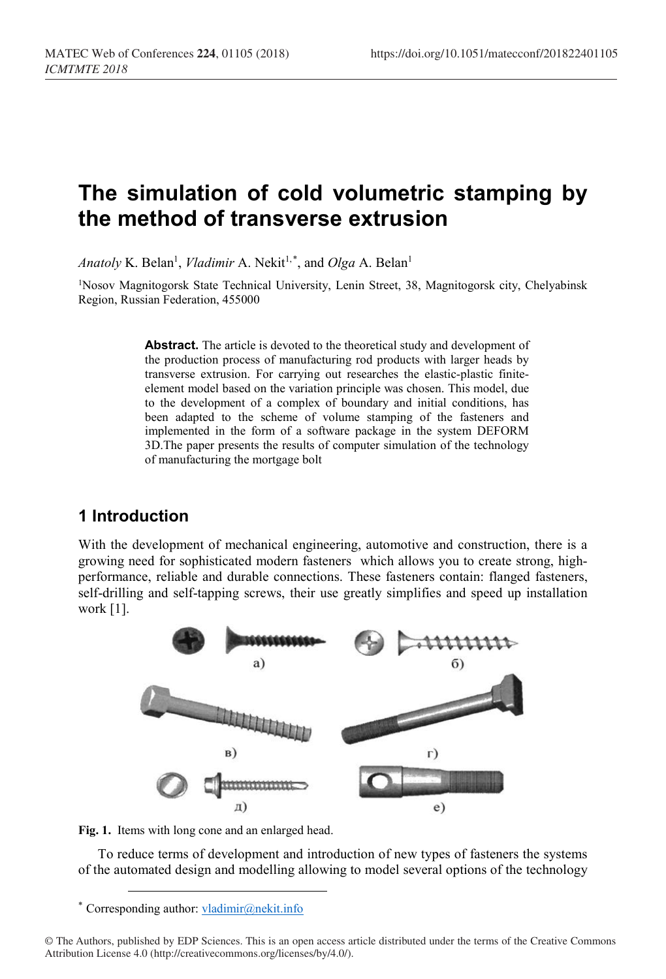# **The simulation of cold volumetric stamping by the method of transverse extrusion**

*Anatoly* K. Belan<sup>1</sup>, *Vladimir* A. Nekit<sup>1,[\\*](#page-0-0)</sup>, and *Olga* A. Belan<sup>1</sup>

1Nosov Magnitogorsk State Technical University, Lenin Street, 38, Magnitogorsk city, Chelyabinsk Region, Russian Federation, 455000

> Abstract. The article is devoted to the theoretical study and development of the production process of manufacturing rod products with larger heads by transverse extrusion. For carrying out researches the elastic-plastic finiteelement model based on the variation principle was chosen. This model, due to the development of a complex of boundary and initial conditions, has been adapted to the scheme of volume stamping of the fasteners and implemented in the form of a software package in the system DEFORM 3D.The paper presents the results of computer simulation of the technology of manufacturing the mortgage bolt

## **1 Introduction**

With the development of mechanical engineering, automotive and construction, there is a growing need for sophisticated modern fasteners which allows you to create strong, highperformance, reliable and durable connections. These fasteners contain: flanged fasteners, self-drilling and self-tapping screws, their use greatly simplifies and speed up installation work [1].



**Fig. 1.** Items with long cone and an enlarged head.

To reduce terms of development and introduction of new types of fasteners the systems of the automated design and modelling allowing to model several options of the technology

 <sup>\*</sup> Corresponding author: [vladimir@nekit.info](mailto:vladimir@nekit.info)

<span id="page-0-0"></span><sup>©</sup> The Authors, published by EDP Sciences. This is an open access article distributed under the terms of the Creative Commons Attribution License 4.0 (http://creativecommons.org/licenses/by/4.0/).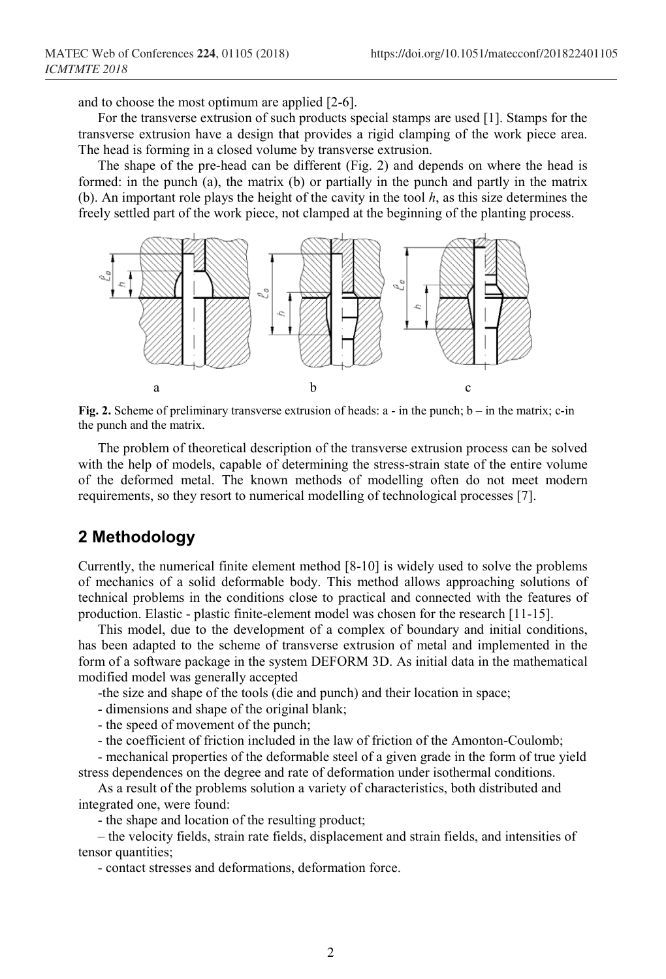and to choose the most optimum are applied [2-6].

For the transverse extrusion of such products special stamps are used [1]. Stamps for the transverse extrusion have a design that provides a rigid clamping of the work piece area. The head is forming in a closed volume by transverse extrusion.

The shape of the pre-head can be different (Fig. 2) and depends on where the head is formed: in the punch (a), the matrix (b) or partially in the punch and partly in the matrix (b). An important role plays the height of the cavity in the tool *h*, as this size determines the freely settled part of the work piece, not clamped at the beginning of the planting process.



**Fig. 2.** Scheme of preliminary transverse extrusion of heads: а - in the punch; b – in the matrix; c-in the punch and the matrix.

The problem of theoretical description of the transverse extrusion process can be solved with the help of models, capable of determining the stress-strain state of the entire volume of the deformed metal. The known methods of modelling often do not meet modern requirements, so they resort to numerical modelling of technological processes [7].

### **2 Methodology**

Currently, the numerical finite element method [8-10] is widely used to solve the problems of mechanics of a solid deformable body. This method allows approaching solutions of technical problems in the conditions close to practical and connected with the features of production. Elastic - plastic finite-element model was chosen for the research [11-15].

This model, due to the development of a complex of boundary and initial conditions, has been adapted to the scheme of transverse extrusion of metal and implemented in the form of a software package in the system DEFORM 3D. As initial data in the mathematical modified model was generally accepted

-the size and shape of the tools (die and punch) and their location in space;

- dimensions and shape of the original blank;

- the speed of movement of the punch;

- the coefficient of friction included in the law of friction of the Amonton-Coulomb;

- mechanical properties of the deformable steel of a given grade in the form of true yield stress dependences on the degree and rate of deformation under isothermal conditions.

As a result of the problems solution a variety of characteristics, both distributed and integrated one, were found:

- the shape and location of the resulting product;

– the velocity fields, strain rate fields, displacement and strain fields, and intensities of tensor quantities;

- contact stresses and deformations, deformation force.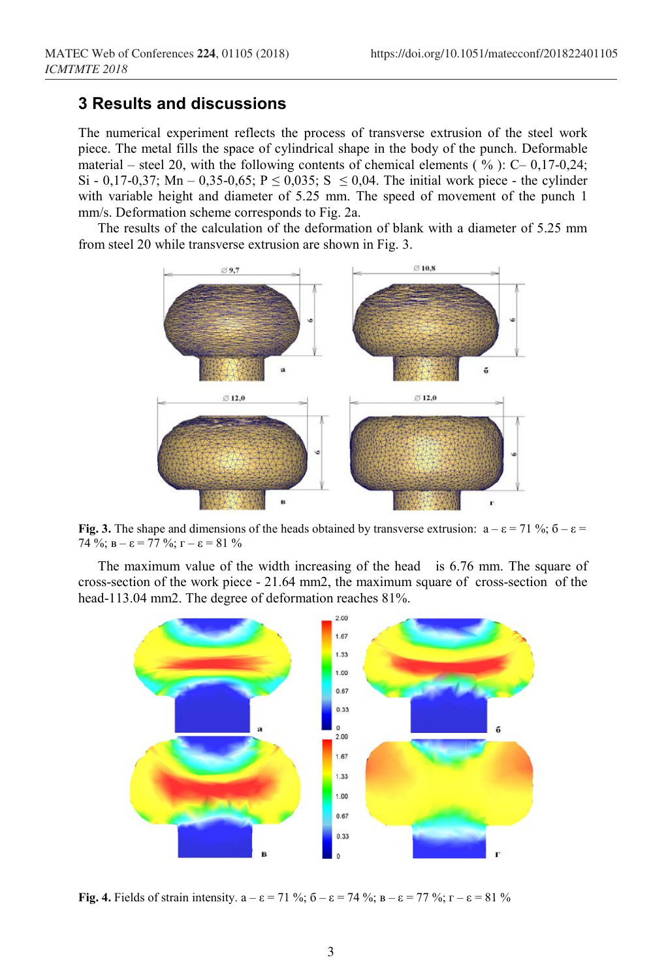# **3 Results and discussions**

*ICMTMTE 2018*

The numerical experiment reflects the process of transverse extrusion of the steel work piece. The metal fills the space of cylindrical shape in the body of the punch. Deformable material – steel 20, with the following contents of chemical elements ( $\%$ ): C–0,17-0,24; Si - 0,17-0,37; Mn – 0,35-0,65; P  $\leq$  0,035; S  $\leq$  0,04. The initial work piece - the cylinder with variable height and diameter of 5.25 mm. The speed of movement of the punch 1 mm/s. Deformation scheme corresponds to Fig. 2a.

The results of the calculation of the deformation of blank with a diameter of 5.25 mm from steel 20 while transverse extrusion are shown in Fig. 3.



**Fig.** 3. The shape and dimensions of the heads obtained by transverse extrusion:  $a - \varepsilon = 71\%$ ;  $\delta - \varepsilon =$ 74 %;  $B - \epsilon = 77$  %;  $\Gamma - \epsilon = 81$  %

The maximum value of the width increasing of the head is 6.76 mm. The square of cross-section of the work piece - 21.64 mm2, the maximum square of cross-section of the head-113.04 mm2. The degree of deformation reaches 81%.



**Fig. 4.** Fields of strain intensity.  $a - \varepsilon = 71 \%$ ;  $\overline{6} - \varepsilon = 74 \%$ ;  $\overline{B} - \varepsilon = 77 \%$ ;  $\overline{C} - \varepsilon = 81 \%$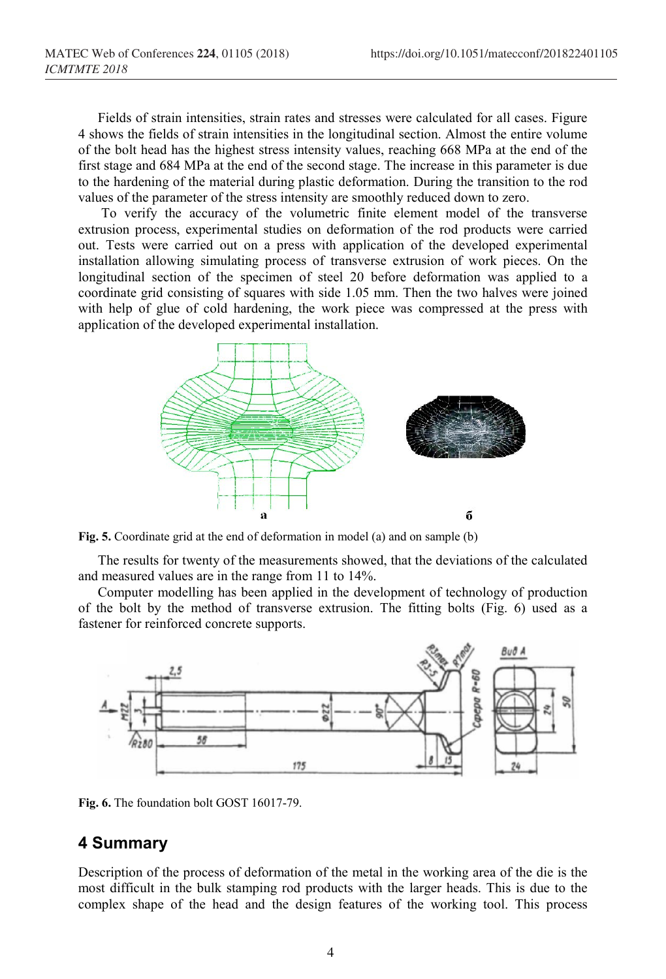Fields of strain intensities, strain rates and stresses were calculated for all cases. Figure 4 shows the fields of strain intensities in the longitudinal section. Almost the entire volume of the bolt head has the highest stress intensity values, reaching 668 MPa at the end of the first stage and 684 MPa at the end of the second stage. The increase in this parameter is due to the hardening of the material during plastic deformation. During the transition to the rod values of the parameter of the stress intensity are smoothly reduced down to zero.

To verify the accuracy of the volumetric finite element model of the transverse extrusion process, experimental studies on deformation of the rod products were carried out. Tests were carried out on a press with application of the developed experimental installation allowing simulating process of transverse extrusion of work pieces. On the longitudinal section of the specimen of steel 20 before deformation was applied to a coordinate grid consisting of squares with side 1.05 mm. Then the two halves were joined with help of glue of cold hardening, the work piece was compressed at the press with application of the developed experimental installation.



**Fig. 5.** Coordinate grid at the end of deformation in model (a) and on sample (b)

The results for twenty of the measurements showed, that the deviations of the calculated and measured values are in the range from 11 to 14%.

Computer modelling has been applied in the development of technology of production of the bolt by the method of transverse extrusion. The fitting bolts (Fig. 6) used as a fastener for reinforced concrete supports.



**Fig. 6.** The foundation bolt GOST 16017-79.

### **4 Summary**

Description of the process of deformation of the metal in the working area of the die is the most difficult in the bulk stamping rod products with the larger heads. This is due to the complex shape of the head and the design features of the working tool. This process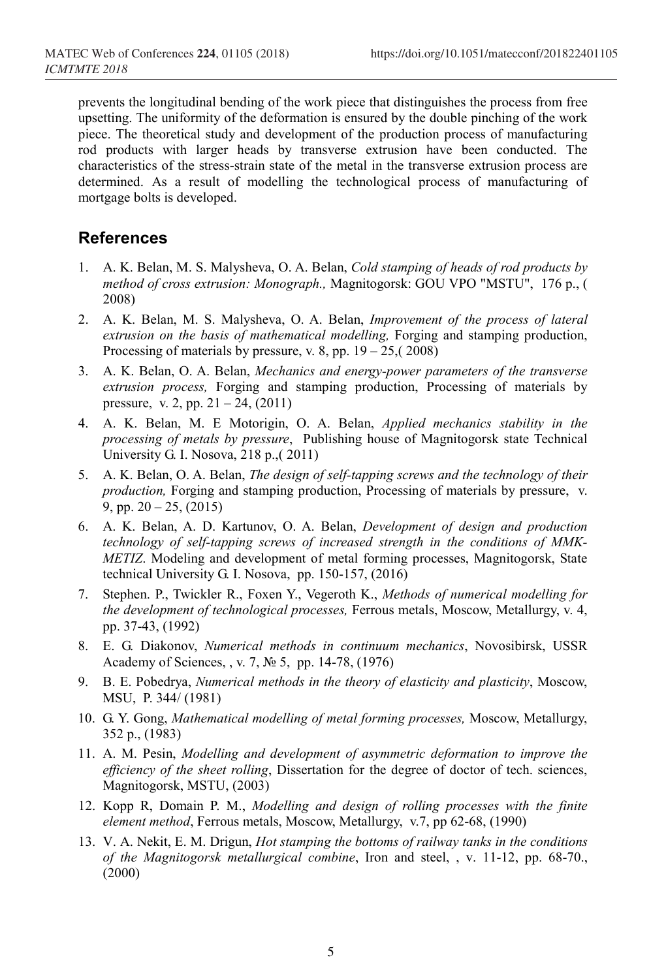prevents the longitudinal bending of the work piece that distinguishes the process from free upsetting. The uniformity of the deformation is ensured by the double pinching of the work piece. The theoretical study and development of the production process of manufacturing rod products with larger heads by transverse extrusion have been conducted. The characteristics of the stress-strain state of the metal in the transverse extrusion process are determined. As a result of modelling the technological process of manufacturing of mortgage bolts is developed.

## **References**

- 1. A. K. Belan, M. S. Malysheva, O. A. Belan, *Cold stamping of heads of rod products by method of cross extrusion: Monograph.,* Magnitogorsk: GOU VPO "MSTU", 176 p., ( 2008)
- 2. A. K. Belan, M. S. Malysheva, O. A. Belan, *Improvement of the process of lateral extrusion on the basis of mathematical modelling,* Forging and stamping production, Processing of materials by pressure, v. 8, pp.  $19 - 25$ ,  $(2008)$
- 3. A. K. Belan, O. A. Belan, *Mechanics and energy-power parameters of the transverse extrusion process,* Forging and stamping production, Processing of materials by pressure, v. 2, pp. 21 – 24, (2011)
- 4. A. K. Belan, M. E Motorigin, O. A. Belan, *Applied mechanics stability in the processing of metals by pressure*, Publishing house of Magnitogorsk state Technical University G. I. Nosova, 218 p.,( 2011)
- 5. A. K. Belan, O. A. Belan, *The design of self-tapping screws and the technology of their production,* Forging and stamping production, Processing of materials by pressure, v. 9, pp. 20 – 25, (2015)
- 6. A. K. Belan, A. D. Kartunov, O. A. Belan, *Development of design and production technology of self-tapping screws of increased strength in the conditions of MMK-METIZ*. Modeling and development of metal forming processes, Magnitogorsk, State technical University G. I. Nosova, pp. 150-157, (2016)
- 7. Stephen. P., Twickler R., Foxen Y., Vegeroth K., *Methods of numerical modelling for the development of technological processes,* Ferrous metals, Moscow, Metallurgy, v. 4, pp. 37-43, (1992)
- 8. E. G. Diakonov, *Numerical methods in continuum mechanics*, Novosibirsk, USSR Academy of Sciences, , v. 7, № 5, pp. 14-78, (1976)
- 9. B. E. Pobedrya, *Numerical methods in the theory of elasticity and plasticity*, Moscow, MSU, P. 344/ (1981)
- 10. G. Y. Gong, *Mathematical modelling of metal forming processes,* Moscow, Metallurgy, 352 p., (1983)
- 11. A. M. Pesin, *Modelling and development of asymmetric deformation to improve the efficiency of the sheet rolling*, Dissertation for the degree of doctor of tech. sciences, Magnitogorsk, MSTU, (2003)
- 12. Kopp R, Domain P. M., *Modelling and design of rolling processes with the finite element method*, Ferrous metals, Moscow, Metallurgy, v.7, pp 62-68, (1990)
- 13. V. A. Nekit, E. M. Drigun, *Hot stamping the bottoms of railway tanks in the conditions of the Magnitogorsk metallurgical combine*, Iron and steel, , v. 11-12, pp. 68-70., (2000)